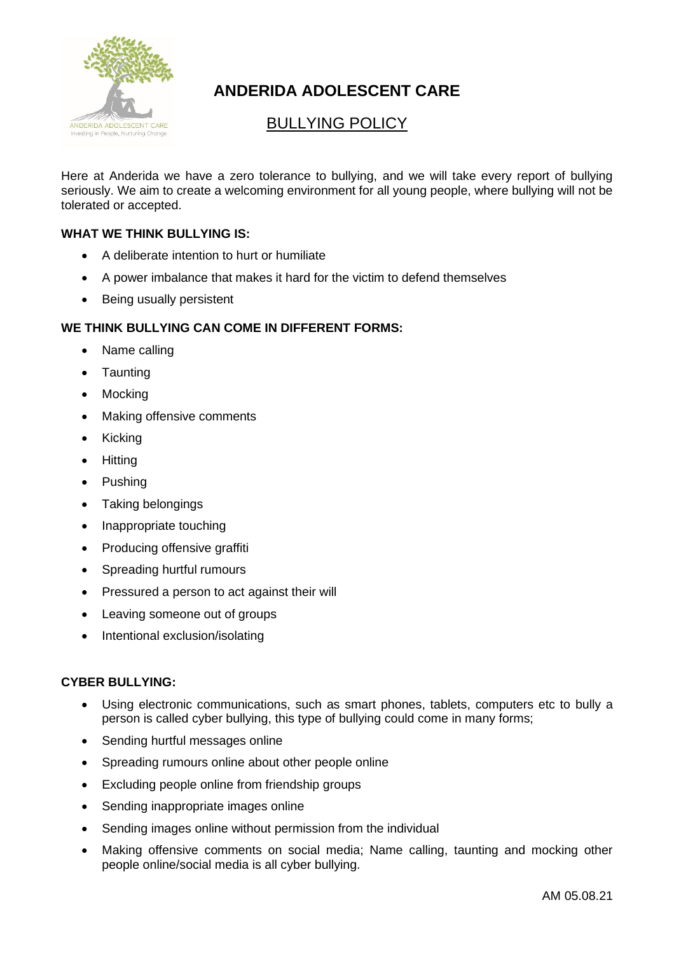

# **ANDERIDA ADOLESCENT CARE**

## BULLYING POLICY

Here at Anderida we have a zero tolerance to bullying, and we will take every report of bullying seriously. We aim to create a welcoming environment for all young people, where bullying will not be tolerated or accepted.

#### **WHAT WE THINK BULLYING IS:**

- A deliberate intention to hurt or humiliate
- A power imbalance that makes it hard for the victim to defend themselves
- Being usually persistent

#### **WE THINK BULLYING CAN COME IN DIFFERENT FORMS:**

- Name calling
- **Taunting**
- **Mocking**
- Making offensive comments
- Kicking
- Hitting
- Pushing
- Taking belongings
- Inappropriate touching
- Producing offensive graffiti
- Spreading hurtful rumours
- Pressured a person to act against their will
- Leaving someone out of groups
- Intentional exclusion/isolating

#### **CYBER BULLYING:**

- Using electronic communications, such as smart phones, tablets, computers etc to bully a person is called cyber bullying, this type of bullying could come in many forms;
- Sending hurtful messages online
- Spreading rumours online about other people online
- Excluding people online from friendship groups
- Sending inappropriate images online
- Sending images online without permission from the individual
- Making offensive comments on social media; Name calling, taunting and mocking other people online/social media is all cyber bullying.